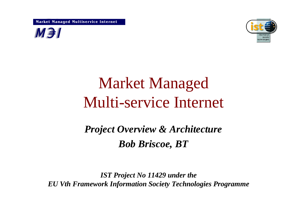Market Managed Multiservice Internet





# Market Managed Multi-service Internet

## *Project Overview & Architecture Bob Briscoe, BT*

*IST Project No 11429 under the EU Vth Framework Information Society Technologies Programme*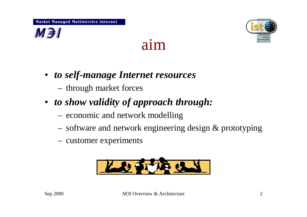





- *to self-manage Internet resources*
	- through market forces
- *to show validity of approach through:*
	- economic and network modelling
	- software and network engineering design & prototyping
	- customer experiments

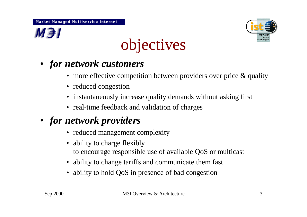

## $M \ni I$

# objectives

- *for network customers*
	- more effective competition between providers over price & quality
	- reduced congestion
	- instantaneously increase quality demands without asking first
	- real-time feedback and validation of charges

### • *for network providers*

- reduced management complexity
- ability to charge flexibly to encourage responsible use of available QoS or multicast
- ability to change tariffs and communicate them fast
- ability to hold QoS in presence of bad congestion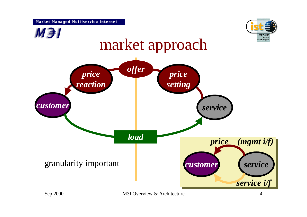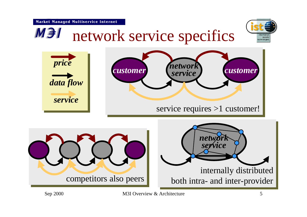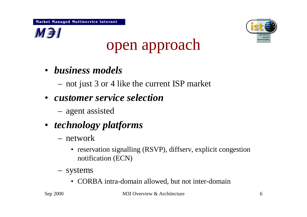



# open approach

- *business models*
	- not just 3 or 4 like the current ISP market
- *customer service selection*
	- agent assisted
- *technology platforms*
	- network
		- reservation signalling (RSVP), diffserv, explicit congestion notification (ECN)
	- systems
		- CORBA intra-domain allowed, but not inter-domain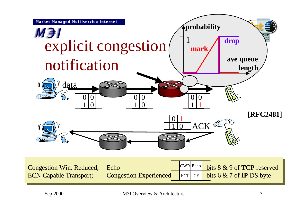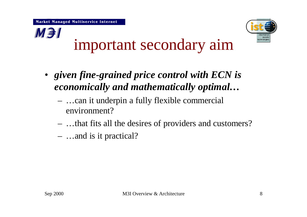**M**<sub>3</sub>



# important secondary aim

- *given fine-grained price control with ECN is economically and mathematically optimal…*
	- … can it underpin a fully flexible commercial environment?
	- … that fits all the desires of providers and customers?
	- … and is it practical?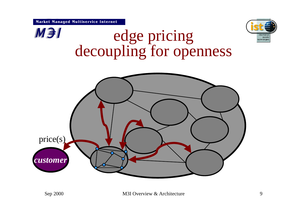

**M**<sub>3</sub>



## edge pricing decoupling for openness

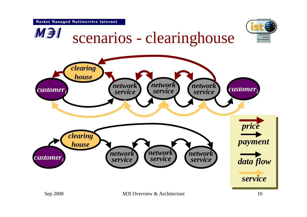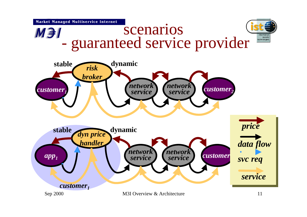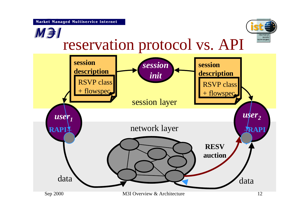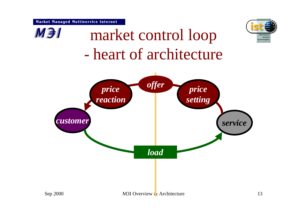

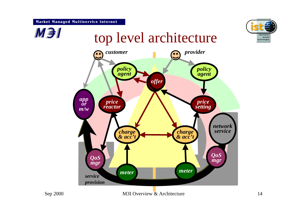#### Market Managed Multiservice Internet



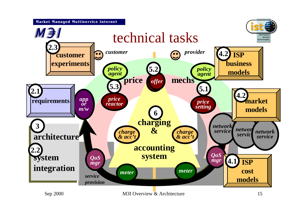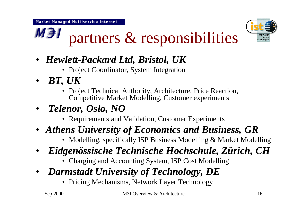

#### **M**<sub>3</sub> partners & responsibilities

- *Hewlett-Packard Ltd, Bristol, UK* 
	- Project Coordinator, System Integration
- *BT, UK* 
	- Project Technical Authority, Architecture, Price Reaction, Competitive Market Modelling, Customer experiments
- *Telenor, Oslo, NO*
	- Requirements and Validation, Customer Experiments
- *Athens University of Economics and Business, GR*
	- Modelling, specifically ISP Business Modelling & Market Modelling
- *Eidgenössische Technische Hochschule, Zürich, CH* 
	- Charging and Accounting System, ISP Cost Modelling
- *Darmstadt University of Technology, DE*
	- Pricing Mechanisms, Network Layer Technology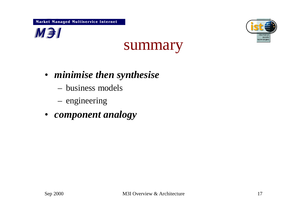



## summary

- *minimise then synthesise*
	- business models
	- engineering
- *component analogy*